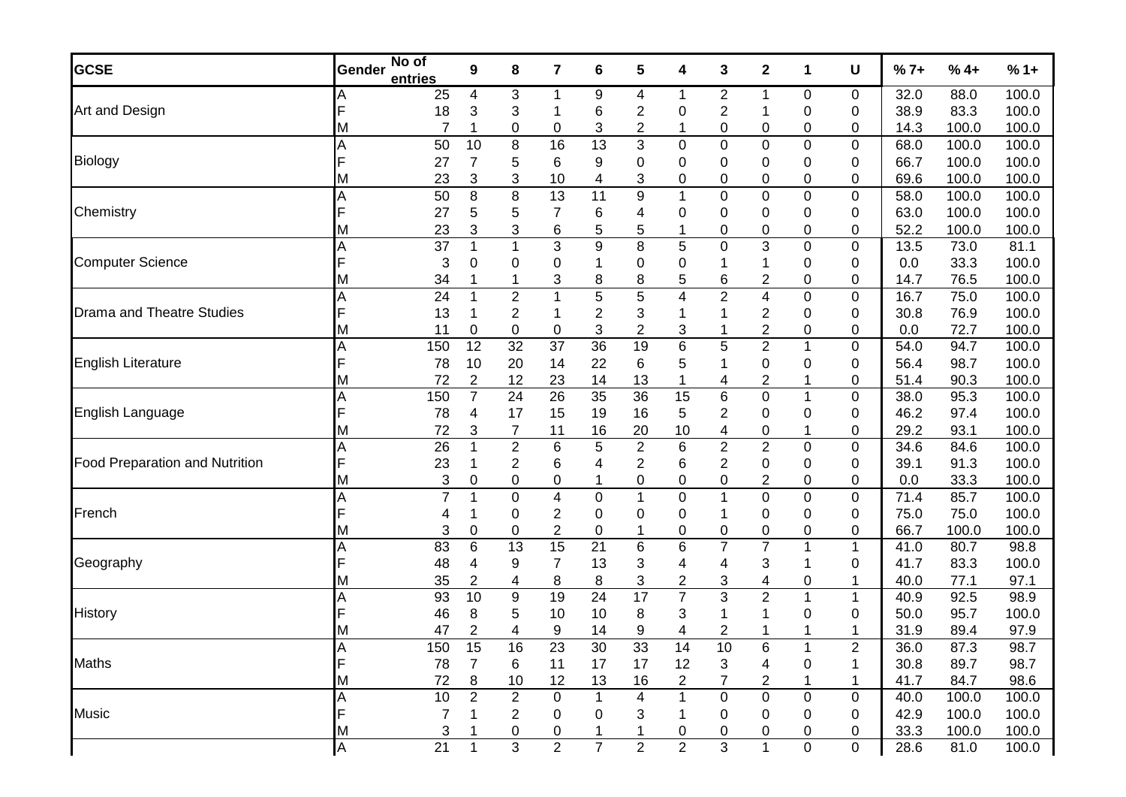| <b>GCSE</b>                           | Gender | No of<br>entries | 9              | 8                         | 7              | 6                | 5                | 4                | 3                       | $\mathbf 2$    | 1                | U           | $%7+$ | $%4+$                                                                                                                                                                                                                                        | $%1+$ |
|---------------------------------------|--------|------------------|----------------|---------------------------|----------------|------------------|------------------|------------------|-------------------------|----------------|------------------|-------------|-------|----------------------------------------------------------------------------------------------------------------------------------------------------------------------------------------------------------------------------------------------|-------|
|                                       |        | 25               | 4              | $\ensuremath{\mathsf{3}}$ | 1              | 9                | 4                | 1                | $\overline{c}$          | 1              | $\pmb{0}$        | 0           | 32.0  | 88.0                                                                                                                                                                                                                                         | 100.0 |
| Art and Design                        |        | 18               | 3              | 3                         |                | 6                | 2                | 0                | 2                       |                | 0                | 0           | 38.9  | 83.3                                                                                                                                                                                                                                         | 100.0 |
|                                       | М      | 7                |                | 0                         | 0              | 3                | 2                |                  | 0                       | 0              | 0                | 0           | 14.3  | 100.0<br>100.0<br>100.0<br>100.0<br>100.0<br>100.0<br>100.0<br>73.0<br>33.3<br>76.5<br>75.0<br>76.9<br>72.7<br>94.7<br>98.7<br>90.3<br>95.3<br>97.4<br>93.1<br>84.6<br>91.3<br>33.3<br>85.7<br>75.0<br>100.0<br>80.7<br>83.3<br>77.1<br>92.5 | 100.0 |
|                                       | A      | 50               | 10             | 8                         | 16             | 13               | 3                | $\pmb{0}$        | 0                       | 0              | $\mathbf 0$      | 0           | 68.0  |                                                                                                                                                                                                                                              | 100.0 |
| Biology                               | F      | 27               | $\overline{7}$ | 5                         | 6              | 9                | 0                | $\boldsymbol{0}$ | 0                       | 0              | $\mathbf 0$      | 0           | 66.7  |                                                                                                                                                                                                                                              | 100.0 |
|                                       | M      | 23               | 3              | $\ensuremath{\mathsf{3}}$ | 10             | 4                | 3                | $\pmb{0}$        | 0                       | 0              | $\pmb{0}$        | 0           | 69.6  |                                                                                                                                                                                                                                              | 100.0 |
|                                       | Α      | 50               | 8              | $\bf 8$                   | 13             | 11               | 9                | $\mathbf 1$      | $\pmb{0}$               | 0              | $\pmb{0}$        | $\pmb{0}$   | 58.0  |                                                                                                                                                                                                                                              | 100.0 |
| Chemistry                             | F      | 27               | 5              | 5                         | 7              | 6                | 4                | 0                | 0                       | 0              | $\mathbf 0$      | 0           | 63.0  |                                                                                                                                                                                                                                              | 100.0 |
|                                       | М      | 23               | 3              | 3                         | 6              | 5                | 5                | 1                | 0                       | 0              | 0                | 0           | 52.2  |                                                                                                                                                                                                                                              | 100.0 |
|                                       | Α      | 37               | 1              | 1                         | 3              | $\boldsymbol{9}$ | $\bf 8$          | 5                | $\pmb{0}$               | 3              | $\pmb{0}$        | $\pmb{0}$   | 13.5  |                                                                                                                                                                                                                                              | 81.1  |
| <b>Computer Science</b>               | F      | 3                | 0              | 0                         | 0              |                  | 0                | $\boldsymbol{0}$ |                         |                | 0                | 0           | 0.0   |                                                                                                                                                                                                                                              | 100.0 |
|                                       | М      | 34               |                | $\mathbf{1}$              | 3              | 8                | 8                | 5                | 6                       | 2              | $\pmb{0}$        | 0           | 14.7  |                                                                                                                                                                                                                                              | 100.0 |
|                                       | Α      | 24               | 1              | $\overline{c}$            | $\mathbf{1}$   | $\overline{5}$   | 5                | 4                | $\overline{2}$          | 4              | $\mathbf 0$      | $\pmb{0}$   | 16.7  | 95.7                                                                                                                                                                                                                                         | 100.0 |
| <b>Drama and Theatre Studies</b>      | F      | 13               |                | 2                         | 1              | 2                | 3                | 1                |                         | 2              | $\mathbf 0$      | 0           | 30.8  |                                                                                                                                                                                                                                              | 100.0 |
|                                       | М      | 11               | 0              | $\boldsymbol{0}$          | 0              | 3                | $\overline{c}$   | 3                |                         | $\overline{c}$ | $\pmb{0}$        | 0           | 0.0   | 89.4<br>87.3                                                                                                                                                                                                                                 | 100.0 |
| <b>English Literature</b>             | A      | 150              | 12             | 32                        | 37             | 36               | 19               | $\,$ 6 $\,$      | 5                       | $\overline{2}$ | $\mathbf{1}$     | 0           | 54.0  |                                                                                                                                                                                                                                              | 100.0 |
|                                       |        | 78               | 10             | 20                        | 14             | 22               | 6                | 5                |                         | 0              | 0                | 0           | 56.4  |                                                                                                                                                                                                                                              | 100.0 |
|                                       | М      | 72               | 2              | 12                        | 23             | 14               | 13               | $\overline{1}$   | 4                       | $\overline{c}$ | 1                | 0           | 51.4  |                                                                                                                                                                                                                                              | 100.0 |
| English Language                      | Α      | 150              | $\overline{7}$ | 24                        | 26             | 35               | $\overline{36}$  | 15               | 6                       | 0              | $\mathbf{1}$     | $\pmb{0}$   | 38.0  |                                                                                                                                                                                                                                              | 100.0 |
|                                       |        | 78               | 4              | 17                        | 15             | 19               | 16               | 5                | $\overline{\mathbf{c}}$ | 0              | 0                | 0           | 46.2  |                                                                                                                                                                                                                                              | 100.0 |
|                                       | М      | 72               | 3              | $\overline{7}$            | 11             | 16               | 20               | 10               | 4                       | 0              | 1                | 0           | 29.2  |                                                                                                                                                                                                                                              | 100.0 |
|                                       | A      | 26               | 1              | $\overline{\mathbf{c}}$   | 6              | 5                | $\boldsymbol{2}$ | $\,6$            | $\overline{\mathbf{c}}$ | $\overline{c}$ | $\boldsymbol{0}$ | $\mathbf 0$ | 34.6  |                                                                                                                                                                                                                                              | 100.0 |
| <b>Food Preparation and Nutrition</b> | F      | 23               |                | $\overline{\mathbf{c}}$   | 6              | 4                | 2                | 6                | $\overline{\mathbf{c}}$ | 0              | $\mathbf 0$      | 0           | 39.1  |                                                                                                                                                                                                                                              | 100.0 |
|                                       | М      | 3                | 0              | $\boldsymbol{0}$          | 0              | 1                | 0                | $\pmb{0}$        | 0                       | 2              | 0                | 0           | 0.0   |                                                                                                                                                                                                                                              | 100.0 |
|                                       | Α      | $\overline{7}$   | 1              | $\pmb{0}$                 | 4              | 0                | 1                | $\boldsymbol{0}$ | $\mathbf 1$             | 0              | $\pmb{0}$        | 0           | 71.4  |                                                                                                                                                                                                                                              | 100.0 |
| French                                | F      | 4                |                | 0                         | $\overline{2}$ | 0                | 0                | 0                |                         | 0              | $\mathbf 0$      | 0           | 75.0  |                                                                                                                                                                                                                                              | 100.0 |
|                                       | М      | 3                | 0              | 0                         | $\overline{c}$ | 0                |                  | 0                | 0                       | 0              | 0                | 0           | 66.7  |                                                                                                                                                                                                                                              | 100.0 |
|                                       | A      | 83               | 6              | 13                        | 15             | 21               | 6                | $\,6$            | $\overline{7}$          | $\overline{7}$ | $\mathbf{1}$     | 1           | 41.0  |                                                                                                                                                                                                                                              | 98.8  |
| Geography                             | F      | 48               | 4              | 9                         | 7              | 13               | 3                | 4                | 4                       | 3              | $\mathbf 1$      | 0           | 41.7  |                                                                                                                                                                                                                                              | 100.0 |
|                                       | м      | 35               | $\mathbf 2$    | 4                         | 8              | 8                | 3                | $\overline{c}$   | 3                       | 4              | 0                |             | 40.0  |                                                                                                                                                                                                                                              | 97.1  |
|                                       | Α      | 93               | 10             | 9                         | 19             | $\overline{24}$  | $\overline{17}$  | $\overline{7}$   | 3                       | $\overline{2}$ | $\mathbf{1}$     | 1           | 40.9  |                                                                                                                                                                                                                                              | 98.9  |
| <b>History</b>                        |        | 46               | 8              | 5                         | 10             | 10               | 8                | 3                |                         |                | 0                | 0           | 50.0  |                                                                                                                                                                                                                                              | 100.0 |
|                                       | М      | 47               | 2              | 4                         | 9              | 14               | 9                | 4                | 2                       |                |                  |             | 31.9  |                                                                                                                                                                                                                                              | 97.9  |
|                                       | A      | 150              | 15             | 16                        | 23             | 30               | 33               | 14               | 10                      | 6              | 1                | 2           | 36.0  |                                                                                                                                                                                                                                              | 98.7  |
| <b>Maths</b>                          | F      | 78               |                | 6                         | 11             | 17               | 17               | 12               | 3                       | 4              | $\boldsymbol{0}$ |             | 30.8  | 89.7                                                                                                                                                                                                                                         | 98.7  |
|                                       | M      | 72               | 8              | 10                        | 12             | 13               | 16               | $\overline{c}$   | 7                       | 2              | 1                |             | 41.7  | 84.7                                                                                                                                                                                                                                         | 98.6  |
|                                       | A      | 10               | $\overline{2}$ | $\overline{c}$            | 0              | 1                | 4                | $\mathbf 1$      | 0                       | $\mathbf 0$    | $\mathsf{O}$     | 0           | 40.0  | 100.0                                                                                                                                                                                                                                        | 100.0 |
| <b>Music</b>                          | F      | 7                |                | 2                         | 0              | 0                | 3                | -1               | 0                       | 0              | 0                | 0           | 42.9  | 100.0                                                                                                                                                                                                                                        | 100.0 |
|                                       | M      | 3                | 1              | 0                         | 0              | 1                | 1                | 0                | 0                       | 0              | 0                | 0           | 33.3  | 100.0                                                                                                                                                                                                                                        | 100.0 |
|                                       | A      | 21               | $\mathbf 1$    | 3                         | $\overline{2}$ | $\overline{7}$   | $\mathbf 2$      | $\overline{2}$   | 3                       | $\mathbf 1$    | $\boldsymbol{0}$ | $\mathbf 0$ | 28.6  | 81.0                                                                                                                                                                                                                                         | 100.0 |